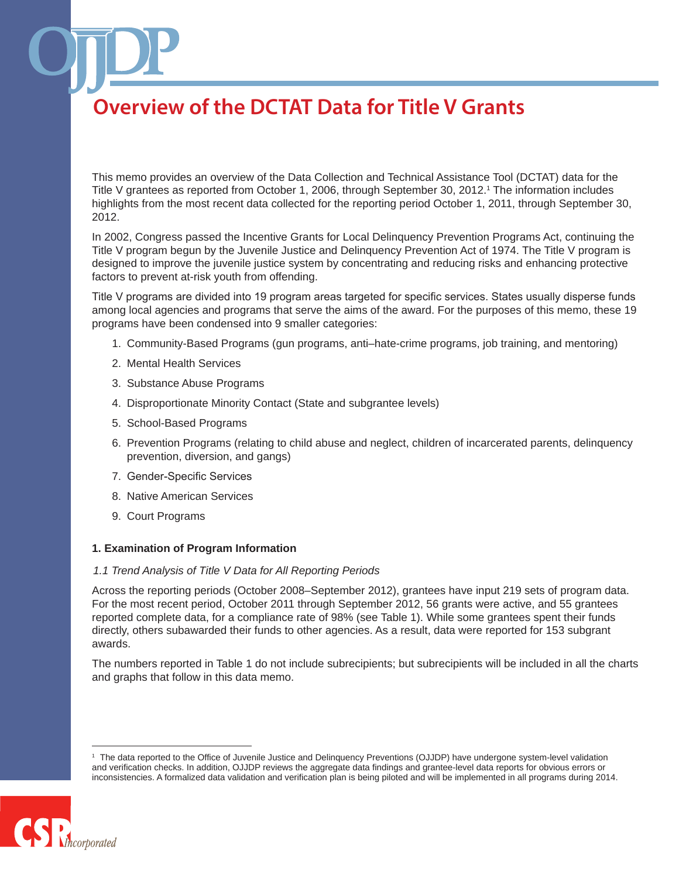This memo provides an overview of the Data Collection and Technical Assistance Tool (DCTAT) data for the Title V grantees as reported from October 1, 2006, through September 30, 2012.1 The information includes highlights from the most recent data collected for the reporting period October 1, 2011, through September 30, 2012.

In 2002, Congress passed the Incentive Grants for Local Delinquency Prevention Programs Act, continuing the Title V program begun by the Juvenile Justice and Delinquency Prevention Act of 1974. The Title V program is designed to improve the juvenile justice system by concentrating and reducing risks and enhancing protective factors to prevent at-risk youth from offending.

Title V programs are divided into 19 program areas targeted for specific services. States usually disperse funds among local agencies and programs that serve the aims of the award. For the purposes of this memo, these 19 programs have been condensed into 9 smaller categories:

- 1. Community-Based Programs (gun programs, anti–hate-crime programs, job training, and mentoring)
- 2. Mental Health Services
- 3. Substance Abuse Programs
- 4. Disproportionate Minority Contact (State and subgrantee levels)
- 5. School-Based Programs
- 6. Prevention Programs (relating to child abuse and neglect, children of incarcerated parents, delinquency prevention, diversion, and gangs)
- 7. Gender-Specific Services
- 8. Native American Services
- 9. Court Programs

### **1. Examination of Program Information**

#### *1.1 Trend Analysis of Title V Data for All Reporting Periods*

Across the reporting periods (October 2008–September 2012), grantees have input 219 sets of program data. For the most recent period, October 2011 through September 2012, 56 grants were active, and 55 grantees reported complete data, for a compliance rate of 98% (see Table 1). While some grantees spent their funds directly, others subawarded their funds to other agencies. As a result, data were reported for 153 subgrant awards.

The numbers reported in Table 1 do not include subrecipients; but subrecipients will be included in all the charts and graphs that follow in this data memo.

<sup>1</sup> The data reported to the Office of Juvenile Justice and Delinquency Preventions (OJJDP) have undergone system-level validation and verification checks. In addition, OJJDP reviews the aggregate data findings and grantee-level data reports for obvious errors or inconsistencies. A formalized data validation and verification plan is being piloted and will be implemented in all programs during 2014.

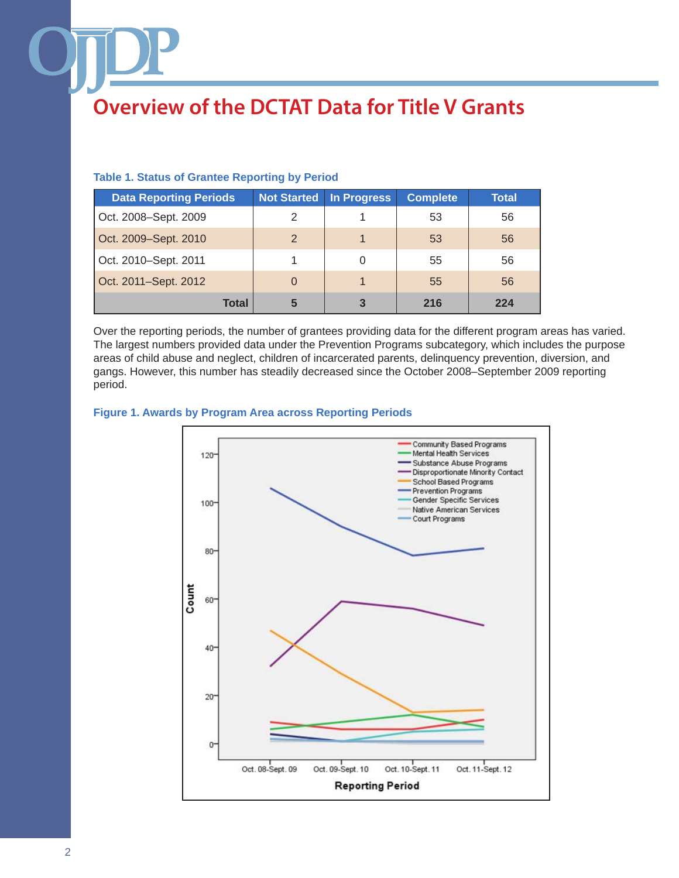### **Table 1. Status of Grantee Reporting by Period**

| <b>Data Reporting Periods</b> | <b>Not Started</b> | <b>In Progress</b> | <b>Complete</b> | <b>Total</b> |
|-------------------------------|--------------------|--------------------|-----------------|--------------|
| Oct. 2008–Sept. 2009          | 2                  |                    | 53              | 56           |
| Oct. 2009–Sept. 2010          | $\mathcal{P}$      |                    | 53              | 56           |
| Oct. 2010–Sept. 2011          |                    | 0                  | 55              | 56           |
| Oct. 2011–Sept. 2012          | $\Omega$           |                    | 55              | 56           |
| <b>Total</b>                  | 5                  | 3                  | 216             | 224          |

Over the reporting periods, the number of grantees providing data for the different program areas has varied. The largest numbers provided data under the Prevention Programs subcategory, which includes the purpose areas of child abuse and neglect, children of incarcerated parents, delinquency prevention, diversion, and gangs. However, this number has steadily decreased since the October 2008–September 2009 reporting period.

### **Figure 1. Awards by Program Area across Reporting Periods**

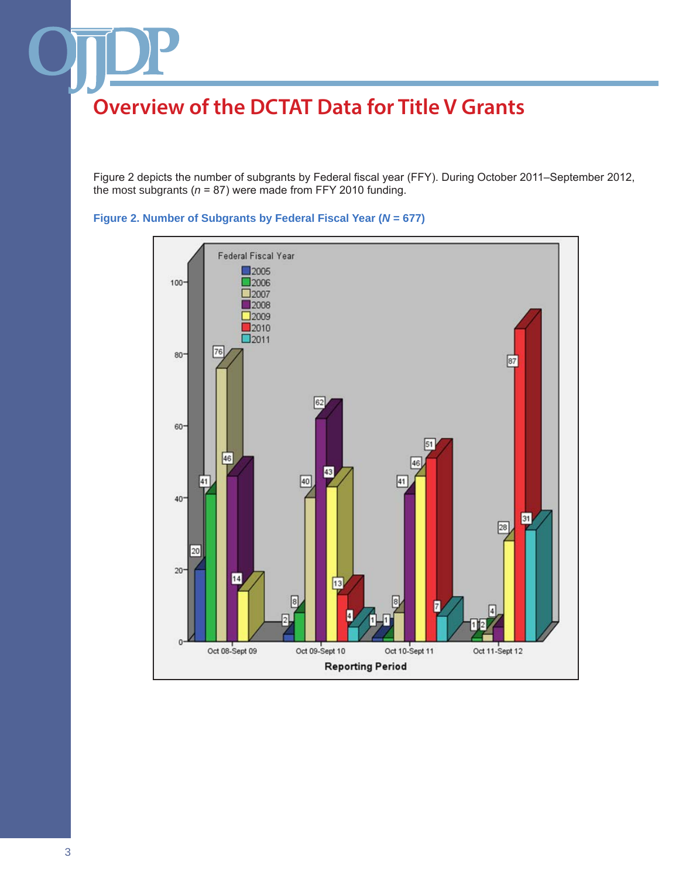Figure 2 depicts the number of subgrants by Federal fiscal year (FFY). During October 2011–September 2012, the most subgrants (*n* = 87) were made from FFY 2010 funding.



### **Figure 2. Number of Subgrants by Federal Fiscal Year (***N* **= 677)**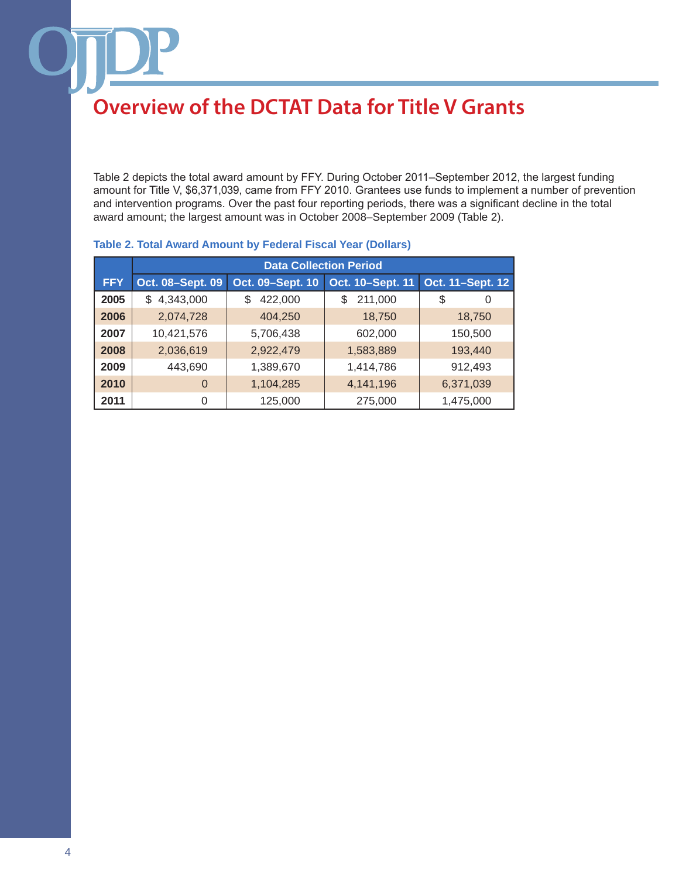Table 2 depicts the total award amount by FFY. During October 2011–September 2012, the largest funding amount for Title V, \$6,371,039, came from FFY 2010. Grantees use funds to implement a number of prevention and intervention programs. Over the past four reporting periods, there was a significant decline in the total award amount; the largest amount was in October 2008–September 2009 (Table 2).

|            | <b>Data Collection Period</b> |                  |                  |                  |
|------------|-------------------------------|------------------|------------------|------------------|
| <b>FFY</b> | Oct. 08-Sept. 09              | Oct. 09-Sept. 10 | Oct. 10-Sept. 11 | Oct. 11-Sept. 12 |
| 2005       | 4,343,000<br>\$               | 422,000<br>S     | 211,000<br>\$    | \$<br>0          |
| 2006       | 2,074,728                     | 404,250          | 18,750           | 18,750           |
| 2007       | 10,421,576                    | 5,706,438        | 602,000          | 150,500          |
| 2008       | 2,036,619                     | 2,922,479        | 1,583,889        | 193,440          |
| 2009       | 443,690                       | 1,389,670        | 1,414,786        | 912,493          |
| 2010       | $\Omega$                      | 1,104,285        | 4,141,196        | 6,371,039        |
| 2011       | 0                             | 125,000          | 275,000          | 1,475,000        |

### **Table 2. Total Award Amount by Federal Fiscal Year (Dollars)**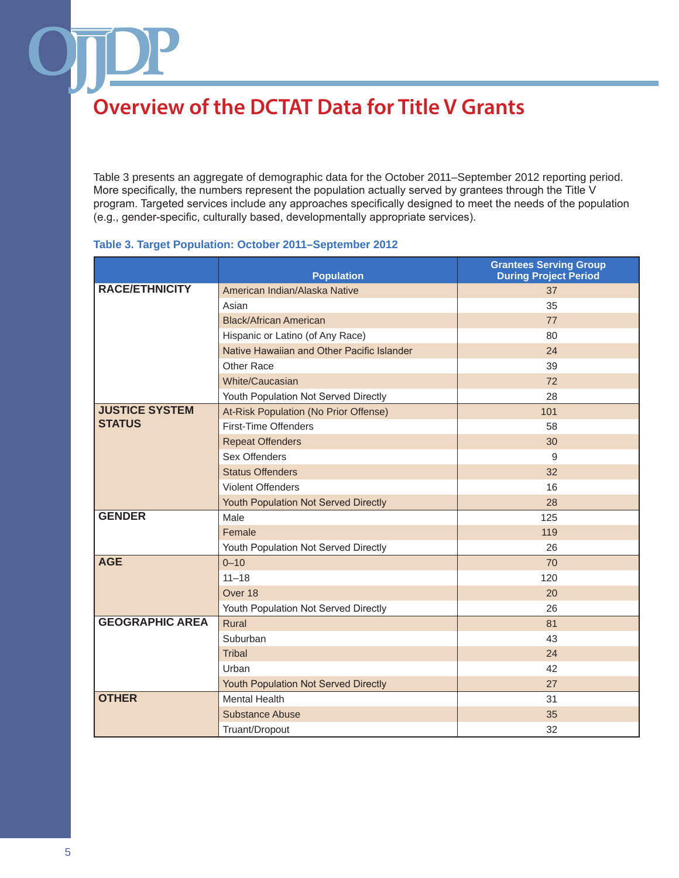Table 3 presents an aggregate of demographic data for the October 2011–September 2012 reporting period. More specifically, the numbers represent the population actually served by grantees through the Title V program. Targeted services include any approaches specifically designed to meet the needs of the population (e.g., gender-specific, culturally based, developmentally appropriate services).

### **Table 3. Target Population: October 2011–September 2012**

|                        | <b>Population</b>                          | <b>Grantees Serving Group</b><br><b>During Project Period</b> |
|------------------------|--------------------------------------------|---------------------------------------------------------------|
| <b>RACE/ETHNICITY</b>  | American Indian/Alaska Native              | 37                                                            |
|                        | Asian                                      | 35                                                            |
|                        | <b>Black/African American</b>              | 77                                                            |
|                        | Hispanic or Latino (of Any Race)           | 80                                                            |
|                        | Native Hawaiian and Other Pacific Islander | 24                                                            |
|                        | Other Race                                 | 39                                                            |
|                        | White/Caucasian                            | 72                                                            |
|                        | Youth Population Not Served Directly       | 28                                                            |
| <b>JUSTICE SYSTEM</b>  | At-Risk Population (No Prior Offense)      | 101                                                           |
| <b>STATUS</b>          | First-Time Offenders                       | 58                                                            |
|                        | <b>Repeat Offenders</b>                    | 30                                                            |
|                        | Sex Offenders                              | 9                                                             |
|                        | <b>Status Offenders</b>                    | 32                                                            |
|                        | <b>Violent Offenders</b>                   | 16                                                            |
|                        | Youth Population Not Served Directly       | 28                                                            |
| <b>GENDER</b>          | Male                                       | 125                                                           |
|                        | Female                                     | 119                                                           |
|                        | Youth Population Not Served Directly       | 26                                                            |
| <b>AGE</b>             | $0 - 10$                                   | 70                                                            |
|                        | $11 - 18$                                  | 120                                                           |
|                        | Over 18                                    | 20                                                            |
|                        | Youth Population Not Served Directly       | 26                                                            |
| <b>GEOGRAPHIC AREA</b> | Rural                                      | 81                                                            |
|                        | Suburban                                   | 43                                                            |
|                        | Tribal                                     | 24                                                            |
|                        | Urban                                      | 42                                                            |
|                        | Youth Population Not Served Directly       | 27                                                            |
| <b>OTHER</b>           | <b>Mental Health</b>                       | 31                                                            |
|                        | <b>Substance Abuse</b>                     | 35                                                            |
|                        | Truant/Dropout                             | 32                                                            |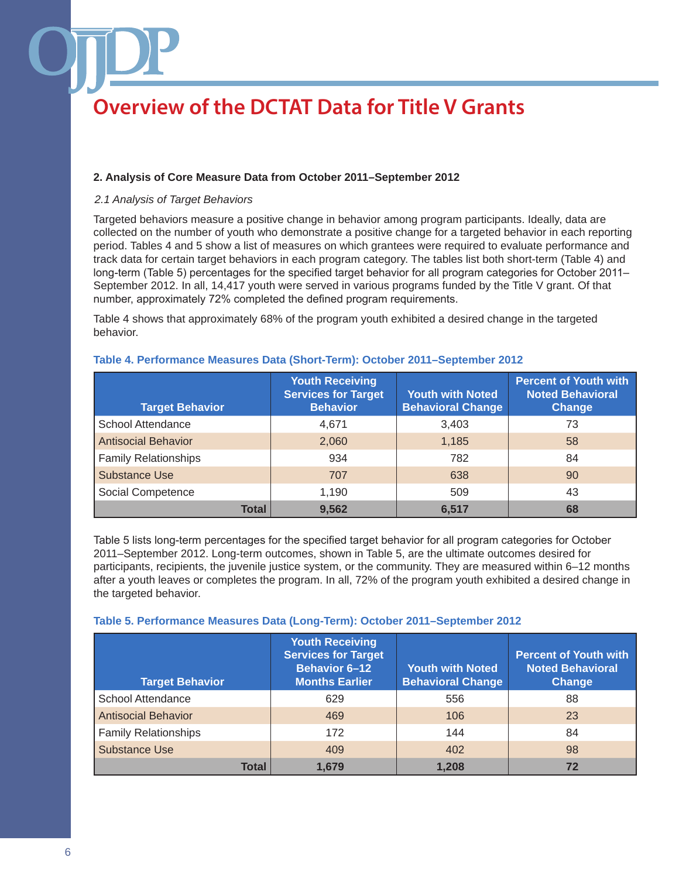### **2. Analysis of Core Measure Data from October 2011–September 2012**

### *2.1 Analysis of Target Behaviors*

Targeted behaviors measure a positive change in behavior among program participants. Ideally, data are collected on the number of youth who demonstrate a positive change for a targeted behavior in each reporting period. Tables 4 and 5 show a list of measures on which grantees were required to evaluate performance and track data for certain target behaviors in each program category. The tables list both short-term (Table 4) and long-term (Table 5) percentages for the specified target behavior for all program categories for October 2011– September 2012. In all, 14,417 youth were served in various programs funded by the Title V grant. Of that number, approximately 72% completed the defined program requirements.

Table 4 shows that approximately 68% of the program youth exhibited a desired change in the targeted behavior.

| <b>Target Behavior</b>      | <b>Youth Receiving</b><br><b>Services for Target</b><br><b>Behavior</b> | <b>Youth with Noted</b><br><b>Behavioral Change</b> | <b>Percent of Youth with</b><br><b>Noted Behavioral</b><br><b>Change</b> |
|-----------------------------|-------------------------------------------------------------------------|-----------------------------------------------------|--------------------------------------------------------------------------|
| <b>School Attendance</b>    | 4.671                                                                   | 3,403                                               | 73                                                                       |
| <b>Antisocial Behavior</b>  | 2,060                                                                   | 1,185                                               | 58                                                                       |
| <b>Family Relationships</b> | 934                                                                     | 782                                                 | 84                                                                       |
| <b>Substance Use</b>        | 707                                                                     | 638                                                 | 90                                                                       |
| Social Competence           | 1,190                                                                   | 509                                                 | 43                                                                       |
| <b>Total</b>                | 9,562                                                                   | 6,517                                               | 68                                                                       |

### **Table 4. Performance Measures Data (Short-Term): October 2011–September 2012**

Table 5 lists long-term percentages for the specified target behavior for all program categories for October 2011–September 2012. Long-term outcomes, shown in Table 5, are the ultimate outcomes desired for participants, recipients, the juvenile justice system, or the community. They are measured within 6–12 months after a youth leaves or completes the program. In all, 72% of the program youth exhibited a desired change in the targeted behavior.

| <b>Target Behavior</b>      | <b>Youth Receiving</b><br><b>Services for Target</b><br><b>Behavior 6-12</b><br><b>Months Earlier</b> | <b>Youth with Noted</b><br><b>Behavioral Change</b> | <b>Percent of Youth with</b><br><b>Noted Behavioral</b><br>Change |
|-----------------------------|-------------------------------------------------------------------------------------------------------|-----------------------------------------------------|-------------------------------------------------------------------|
| <b>School Attendance</b>    | 629                                                                                                   | 556                                                 | 88                                                                |
| <b>Antisocial Behavior</b>  | 469                                                                                                   | 106                                                 | 23                                                                |
| <b>Family Relationships</b> | 172                                                                                                   | 144                                                 | 84                                                                |
| Substance Use               | 409                                                                                                   | 402                                                 | 98                                                                |
| <b>Total</b>                | 1,679                                                                                                 | 1,208                                               | 72                                                                |

### **Table 5. Performance Measures Data (Long-Term): October 2011–September 2012**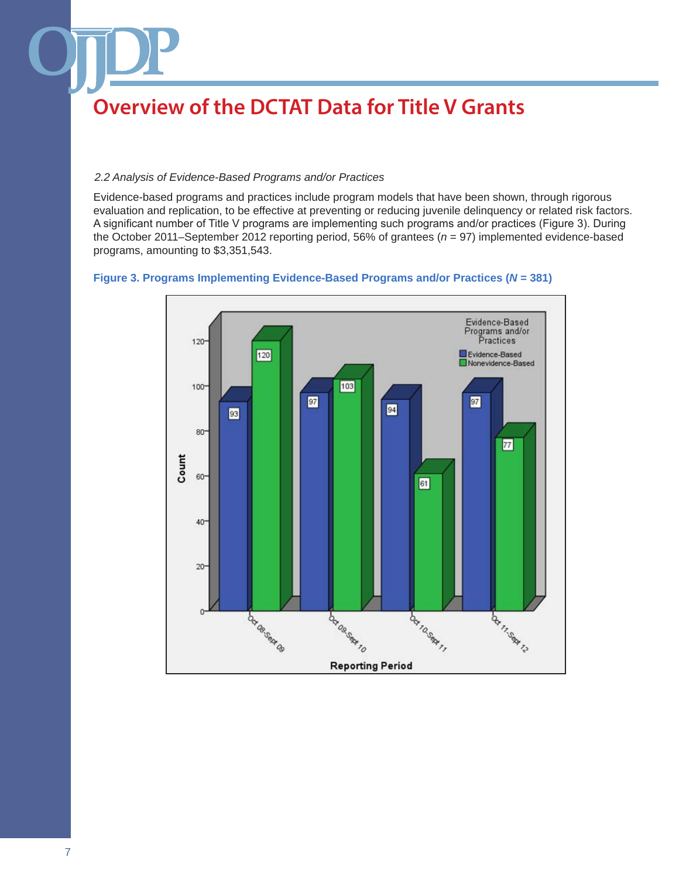### *2.2 Analysis of Evidence-Based Programs and/or Practices*

Evidence-based programs and practices include program models that have been shown, through rigorous evaluation and replication, to be effective at preventing or reducing juvenile delinquency or related risk factors. A significant number of Title V programs are implementing such programs and/or practices (Figure 3). During the October 2011–September 2012 reporting period, 56% of grantees (*n* = 97) implemented evidence-based programs, amounting to \$3,351,543.



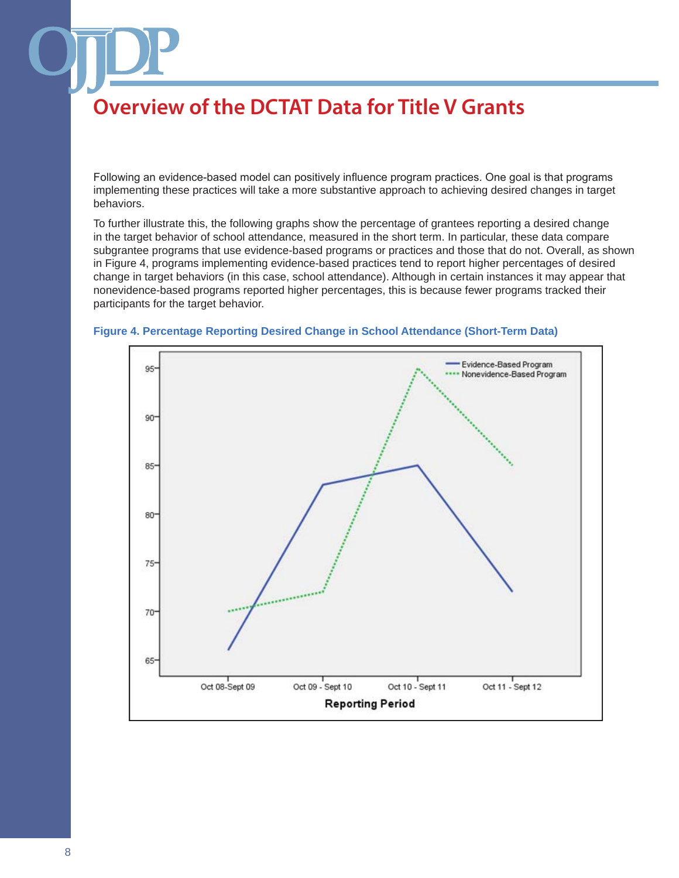Following an evidence-based model can positively influence program practices. One goal is that programs implementing these practices will take a more substantive approach to achieving desired changes in target behaviors.

To further illustrate this, the following graphs show the percentage of grantees reporting a desired change in the target behavior of school attendance, measured in the short term. In particular, these data compare subgrantee programs that use evidence-based programs or practices and those that do not. Overall, as shown in Figure 4, programs implementing evidence-based practices tend to report higher percentages of desired change in target behaviors (in this case, school attendance). Although in certain instances it may appear that nonevidence-based programs reported higher percentages, this is because fewer programs tracked their participants for the target behavior.



#### **Figure 4. Percentage Reporting Desired Change in School Attendance (Short-Term Data)**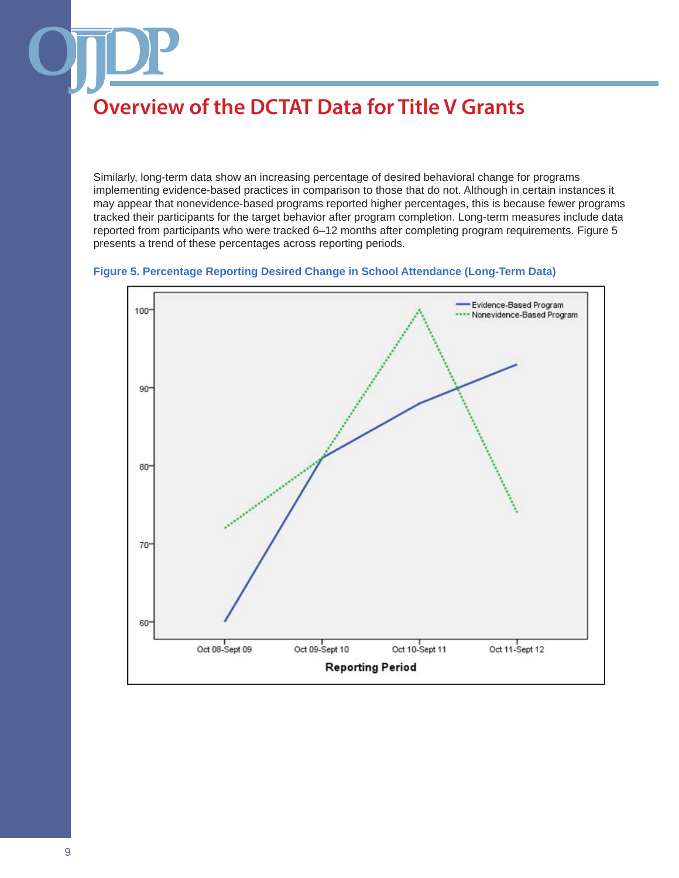Similarly, long-term data show an increasing percentage of desired behavioral change for programs implementing evidence-based practices in comparison to those that do not. Although in certain instances it may appear that nonevidence-based programs reported higher percentages, this is because fewer programs tracked their participants for the target behavior after program completion. Long-term measures include data reported from participants who were tracked 6–12 months after completing program requirements. Figure 5 presents a trend of these percentages across reporting periods.



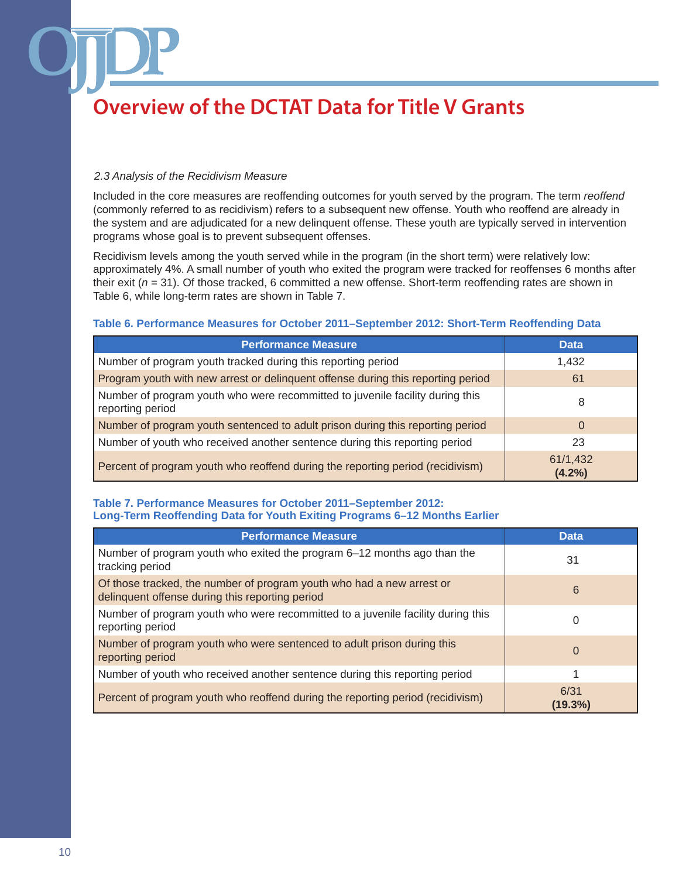### *2.3 Analysis of the Recidivism Measure*

Included in the core measures are reoffending outcomes for youth served by the program. The term *reoffend* (commonly referred to as recidivism) refers to a subsequent new offense. Youth who reoffend are already in the system and are adjudicated for a new delinquent offense. These youth are typically served in intervention programs whose goal is to prevent subsequent offenses.

Recidivism levels among the youth served while in the program (in the short term) were relatively low: approximately 4%. A small number of youth who exited the program were tracked for reoffenses 6 months after their exit (*n* = 31). Of those tracked, 6 committed a new offense. Short-term reoffending rates are shown in Table 6, while long-term rates are shown in Table 7.

### **Table 6. Performance Measures for October 2011–September 2012: Short-Term Reoffending Data**

| <b>Performance Measure</b>                                                                        | <b>Data</b>        |
|---------------------------------------------------------------------------------------------------|--------------------|
| Number of program youth tracked during this reporting period                                      | 1,432              |
| Program youth with new arrest or delinquent offense during this reporting period                  | 61                 |
| Number of program youth who were recommitted to juvenile facility during this<br>reporting period | 8                  |
| Number of program youth sentenced to adult prison during this reporting period                    | $\Omega$           |
| Number of youth who received another sentence during this reporting period                        | 23                 |
| Percent of program youth who reoffend during the reporting period (recidivism)                    | 61/1,432<br>(4.2%) |

### **Table 7. Performance Measures for October 2011–September 2012: Long-Term Reoffending Data for Youth Exiting Programs 6–12 Months Earlier**

| <b>Performance Measure</b>                                                                                               | <b>Data</b>     |
|--------------------------------------------------------------------------------------------------------------------------|-----------------|
| Number of program youth who exited the program 6–12 months ago than the<br>tracking period                               | 31              |
| Of those tracked, the number of program youth who had a new arrest or<br>delinquent offense during this reporting period | 6               |
| Number of program youth who were recommitted to a juvenile facility during this<br>reporting period                      | 0               |
| Number of program youth who were sentenced to adult prison during this<br>reporting period                               | 0               |
| Number of youth who received another sentence during this reporting period                                               |                 |
| Percent of program youth who reoffend during the reporting period (recidivism)                                           | 6/31<br>(19.3%) |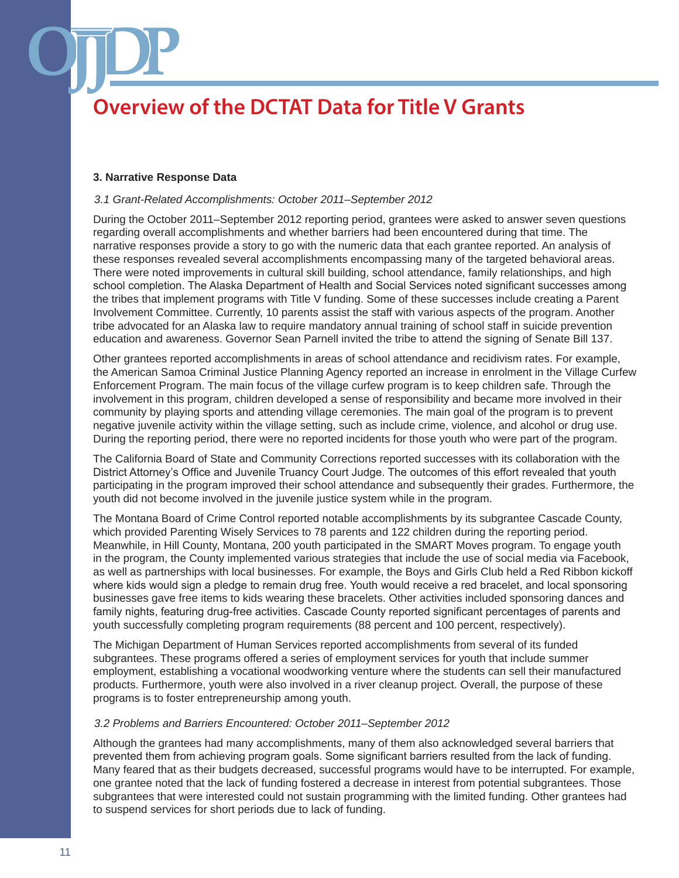### **3. Narrative Response Data**

### *3.1 Grant-Related Accomplishments: October 2011–September 2012*

During the October 2011–September 2012 reporting period, grantees were asked to answer seven questions regarding overall accomplishments and whether barriers had been encountered during that time. The narrative responses provide a story to go with the numeric data that each grantee reported. An analysis of these responses revealed several accomplishments encompassing many of the targeted behavioral areas. There were noted improvements in cultural skill building, school attendance, family relationships, and high school completion. The Alaska Department of Health and Social Services noted significant successes among the tribes that implement programs with Title V funding. Some of these successes include creating a Parent Involvement Committee. Currently, 10 parents assist the staff with various aspects of the program. Another tribe advocated for an Alaska law to require mandatory annual training of school staff in suicide prevention education and awareness. Governor Sean Parnell invited the tribe to attend the signing of Senate Bill 137.

Other grantees reported accomplishments in areas of school attendance and recidivism rates. For example, the American Samoa Criminal Justice Planning Agency reported an increase in enrolment in the Village Curfew Enforcement Program. The main focus of the village curfew program is to keep children safe. Through the involvement in this program, children developed a sense of responsibility and became more involved in their community by playing sports and attending village ceremonies. The main goal of the program is to prevent negative juvenile activity within the village setting, such as include crime, violence, and alcohol or drug use. During the reporting period, there were no reported incidents for those youth who were part of the program.

The California Board of State and Community Corrections reported successes with its collaboration with the District Attorney's Office and Juvenile Truancy Court Judge. The outcomes of this effort revealed that youth participating in the program improved their school attendance and subsequently their grades. Furthermore, the youth did not become involved in the juvenile justice system while in the program.

The Montana Board of Crime Control reported notable accomplishments by its subgrantee Cascade County, which provided Parenting Wisely Services to 78 parents and 122 children during the reporting period. Meanwhile, in Hill County, Montana, 200 youth participated in the SMART Moves program. To engage youth in the program, the County implemented various strategies that include the use of social media via Facebook, as well as partnerships with local businesses. For example, the Boys and Girls Club held a Red Ribbon kickoff where kids would sign a pledge to remain drug free. Youth would receive a red bracelet, and local sponsoring businesses gave free items to kids wearing these bracelets. Other activities included sponsoring dances and family nights, featuring drug-free activities. Cascade County reported significant percentages of parents and youth successfully completing program requirements (88 percent and 100 percent, respectively).

The Michigan Department of Human Services reported accomplishments from several of its funded subgrantees. These programs offered a series of employment services for youth that include summer employment, establishing a vocational woodworking venture where the students can sell their manufactured products. Furthermore, youth were also involved in a river cleanup project. Overall, the purpose of these programs is to foster entrepreneurship among youth.

### *3.2 Problems and Barriers Encountered: October 2011–September 2012*

Although the grantees had many accomplishments, many of them also acknowledged several barriers that prevented them from achieving program goals. Some significant barriers resulted from the lack of funding. Many feared that as their budgets decreased, successful programs would have to be interrupted. For example, one grantee noted that the lack of funding fostered a decrease in interest from potential subgrantees. Those subgrantees that were interested could not sustain programming with the limited funding. Other grantees had to suspend services for short periods due to lack of funding.